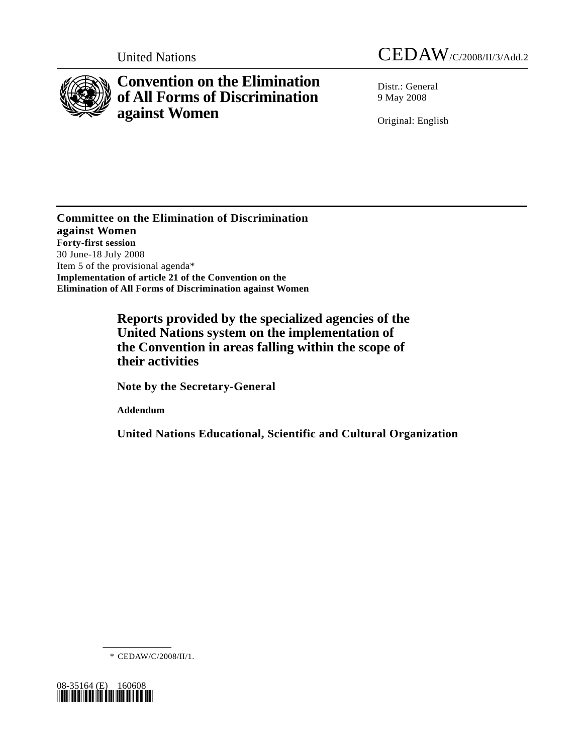

# **Convention on the Elimination of All Forms of Discrimination against Women**

United Nations CEDAW/C/2008/II/3/Add.2

Distr.: General 9 May 2008

Original: English

**Committee on the Elimination of Discrimination against Women Forty-first session**  30 June-18 July 2008 Item 5 of the provisional agenda\* **Implementation of article 21 of the Convention on the Elimination of All Forms of Discrimination against Women** 

> **Reports provided by the specialized agencies of the United Nations system on the implementation of the Convention in areas falling within the scope of their activities**

 **Note by the Secretary-General** 

 **Addendum** 

 **United Nations Educational, Scientific and Cultural Organization** 

\* CEDAW/C/2008/II/1.

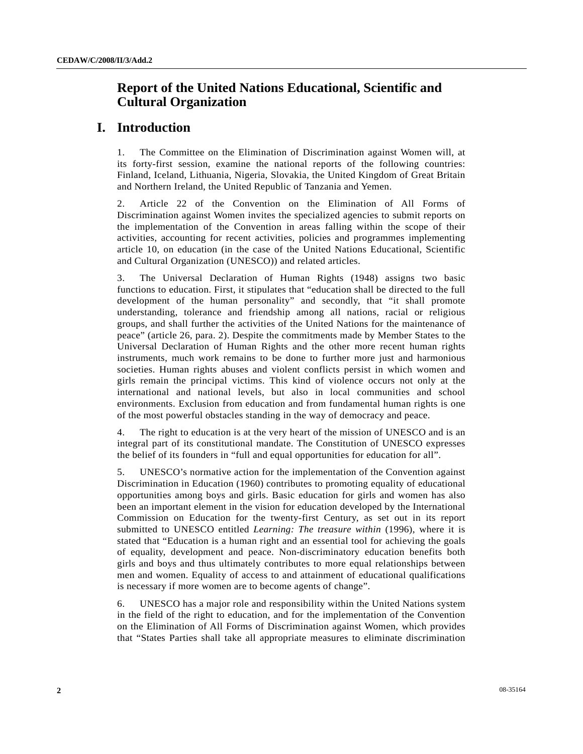# **Report of the United Nations Educational, Scientific and Cultural Organization**

# **I. Introduction**

1. The Committee on the Elimination of Discrimination against Women will, at its forty-first session, examine the national reports of the following countries: Finland, Iceland, Lithuania, Nigeria, Slovakia, the United Kingdom of Great Britain and Northern Ireland, the United Republic of Tanzania and Yemen.

2. Article 22 of the Convention on the Elimination of All Forms of Discrimination against Women invites the specialized agencies to submit reports on the implementation of the Convention in areas falling within the scope of their activities, accounting for recent activities, policies and programmes implementing article 10, on education (in the case of the United Nations Educational, Scientific and Cultural Organization (UNESCO)) and related articles.

3. The Universal Declaration of Human Rights (1948) assigns two basic functions to education. First, it stipulates that "education shall be directed to the full development of the human personality" and secondly, that "it shall promote understanding, tolerance and friendship among all nations, racial or religious groups, and shall further the activities of the United Nations for the maintenance of peace" (article 26, para. 2). Despite the commitments made by Member States to the Universal Declaration of Human Rights and the other more recent human rights instruments, much work remains to be done to further more just and harmonious societies. Human rights abuses and violent conflicts persist in which women and girls remain the principal victims. This kind of violence occurs not only at the international and national levels, but also in local communities and school environments. Exclusion from education and from fundamental human rights is one of the most powerful obstacles standing in the way of democracy and peace.

4. The right to education is at the very heart of the mission of UNESCO and is an integral part of its constitutional mandate. The Constitution of UNESCO expresses the belief of its founders in "full and equal opportunities for education for all".

5. UNESCO's normative action for the implementation of the Convention against Discrimination in Education (1960) contributes to promoting equality of educational opportunities among boys and girls. Basic education for girls and women has also been an important element in the vision for education developed by the International Commission on Education for the twenty-first Century, as set out in its report submitted to UNESCO entitled *Learning: The treasure within* (1996), where it is stated that "Education is a human right and an essential tool for achieving the goals of equality, development and peace. Non-discriminatory education benefits both girls and boys and thus ultimately contributes to more equal relationships between men and women. Equality of access to and attainment of educational qualifications is necessary if more women are to become agents of change".

6. UNESCO has a major role and responsibility within the United Nations system in the field of the right to education, and for the implementation of the Convention on the Elimination of All Forms of Discrimination against Women, which provides that "States Parties shall take all appropriate measures to eliminate discrimination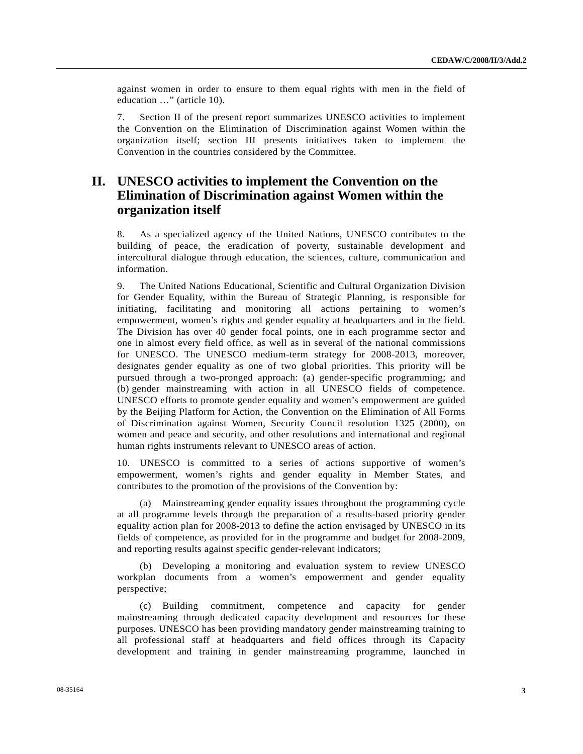against women in order to ensure to them equal rights with men in the field of education …" (article 10).

7. Section II of the present report summarizes UNESCO activities to implement the Convention on the Elimination of Discrimination against Women within the organization itself; section III presents initiatives taken to implement the Convention in the countries considered by the Committee.

# **II. UNESCO activities to implement the Convention on the Elimination of Discrimination against Women within the organization itself**

8. As a specialized agency of the United Nations, UNESCO contributes to the building of peace, the eradication of poverty, sustainable development and intercultural dialogue through education, the sciences, culture, communication and information.

9. The United Nations Educational, Scientific and Cultural Organization Division for Gender Equality, within the Bureau of Strategic Planning, is responsible for initiating, facilitating and monitoring all actions pertaining to women's empowerment, women's rights and gender equality at headquarters and in the field. The Division has over 40 gender focal points, one in each programme sector and one in almost every field office, as well as in several of the national commissions for UNESCO. The UNESCO medium-term strategy for 2008-2013, moreover, designates gender equality as one of two global priorities. This priority will be pursued through a two-pronged approach: (a) gender-specific programming; and (b) gender mainstreaming with action in all UNESCO fields of competence. UNESCO efforts to promote gender equality and women's empowerment are guided by the Beijing Platform for Action, the Convention on the Elimination of All Forms of Discrimination against Women, Security Council resolution 1325 (2000), on women and peace and security, and other resolutions and international and regional human rights instruments relevant to UNESCO areas of action.

10. UNESCO is committed to a series of actions supportive of women's empowerment, women's rights and gender equality in Member States, and contributes to the promotion of the provisions of the Convention by:

 (a) Mainstreaming gender equality issues throughout the programming cycle at all programme levels through the preparation of a results-based priority gender equality action plan for 2008-2013 to define the action envisaged by UNESCO in its fields of competence, as provided for in the programme and budget for 2008-2009, and reporting results against specific gender-relevant indicators;

 (b) Developing a monitoring and evaluation system to review UNESCO workplan documents from a women's empowerment and gender equality perspective;

 (c) Building commitment, competence and capacity for gender mainstreaming through dedicated capacity development and resources for these purposes. UNESCO has been providing mandatory gender mainstreaming training to all professional staff at headquarters and field offices through its Capacity development and training in gender mainstreaming programme, launched in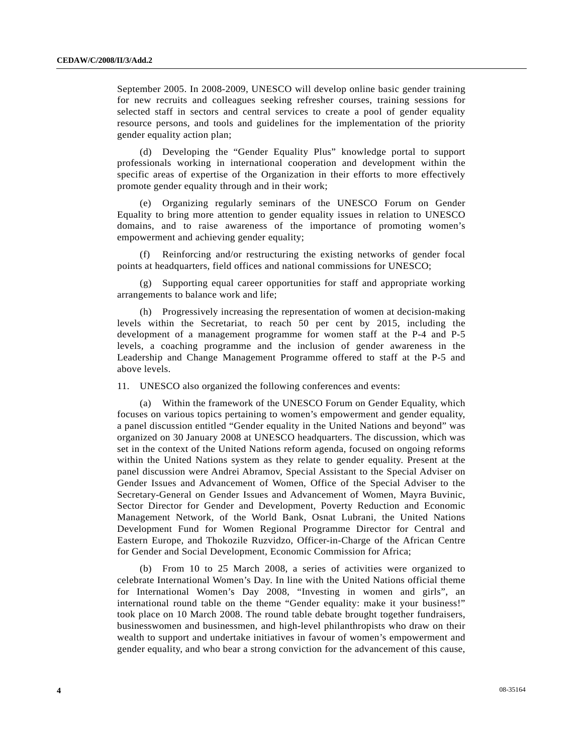September 2005. In 2008-2009, UNESCO will develop online basic gender training for new recruits and colleagues seeking refresher courses, training sessions for selected staff in sectors and central services to create a pool of gender equality resource persons, and tools and guidelines for the implementation of the priority gender equality action plan;

 (d) Developing the "Gender Equality Plus" knowledge portal to support professionals working in international cooperation and development within the specific areas of expertise of the Organization in their efforts to more effectively promote gender equality through and in their work;

 (e) Organizing regularly seminars of the UNESCO Forum on Gender Equality to bring more attention to gender equality issues in relation to UNESCO domains, and to raise awareness of the importance of promoting women's empowerment and achieving gender equality;

 (f) Reinforcing and/or restructuring the existing networks of gender focal points at headquarters, field offices and national commissions for UNESCO;

 (g) Supporting equal career opportunities for staff and appropriate working arrangements to balance work and life;

 (h) Progressively increasing the representation of women at decision-making levels within the Secretariat, to reach 50 per cent by 2015, including the development of a management programme for women staff at the P-4 and P-5 levels, a coaching programme and the inclusion of gender awareness in the Leadership and Change Management Programme offered to staff at the P-5 and above levels.

11. UNESCO also organized the following conferences and events:

 (a) Within the framework of the UNESCO Forum on Gender Equality, which focuses on various topics pertaining to women's empowerment and gender equality, a panel discussion entitled "Gender equality in the United Nations and beyond" was organized on 30 January 2008 at UNESCO headquarters. The discussion, which was set in the context of the United Nations reform agenda, focused on ongoing reforms within the United Nations system as they relate to gender equality. Present at the panel discussion were Andrei Abramov, Special Assistant to the Special Adviser on Gender Issues and Advancement of Women, Office of the Special Adviser to the Secretary-General on Gender Issues and Advancement of Women, Mayra Buvinic, Sector Director for Gender and Development, Poverty Reduction and Economic Management Network, of the World Bank, Osnat Lubrani, the United Nations Development Fund for Women Regional Programme Director for Central and Eastern Europe, and Thokozile Ruzvidzo, Officer-in-Charge of the African Centre for Gender and Social Development, Economic Commission for Africa;

 (b) From 10 to 25 March 2008, a series of activities were organized to celebrate International Women's Day. In line with the United Nations official theme for International Women's Day 2008, "Investing in women and girls", an international round table on the theme "Gender equality: make it your business!" took place on 10 March 2008. The round table debate brought together fundraisers, businesswomen and businessmen, and high-level philanthropists who draw on their wealth to support and undertake initiatives in favour of women's empowerment and gender equality, and who bear a strong conviction for the advancement of this cause,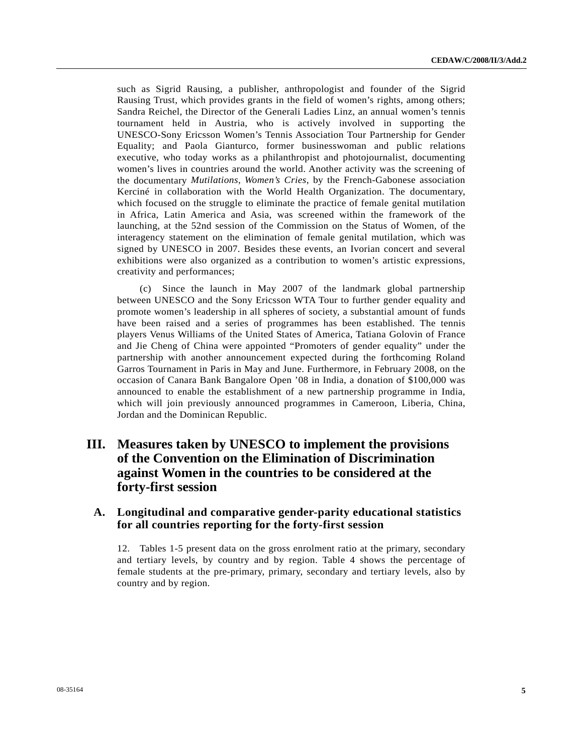such as Sigrid Rausing, a publisher, anthropologist and founder of the Sigrid Rausing Trust, which provides grants in the field of women's rights, among others; Sandra Reichel, the Director of the Generali Ladies Linz, an annual women's tennis tournament held in Austria, who is actively involved in supporting the UNESCO-Sony Ericsson Women's Tennis Association Tour Partnership for Gender Equality; and Paola Gianturco, former businesswoman and public relations executive, who today works as a philanthropist and photojournalist, documenting women's lives in countries around the world. Another activity was the screening of the documentary *Mutilations, Women's Cries*, by the French-Gabonese association Kerciné in collaboration with the World Health Organization. The documentary, which focused on the struggle to eliminate the practice of female genital mutilation in Africa, Latin America and Asia, was screened within the framework of the launching, at the 52nd session of the Commission on the Status of Women, of the interagency statement on the elimination of female genital mutilation, which was signed by UNESCO in 2007. Besides these events, an Ivorian concert and several exhibitions were also organized as a contribution to women's artistic expressions, creativity and performances;

 (c) Since the launch in May 2007 of the landmark global partnership between UNESCO and the Sony Ericsson WTA Tour to further gender equality and promote women's leadership in all spheres of society, a substantial amount of funds have been raised and a series of programmes has been established. The tennis players Venus Williams of the United States of America, Tatiana Golovin of France and Jie Cheng of China were appointed "Promoters of gender equality" under the partnership with another announcement expected during the forthcoming Roland Garros Tournament in Paris in May and June. Furthermore, in February 2008, on the occasion of Canara Bank Bangalore Open '08 in India, a donation of \$100,000 was announced to enable the establishment of a new partnership programme in India, which will join previously announced programmes in Cameroon, Liberia, China, Jordan and the Dominican Republic.

# **III. Measures taken by UNESCO to implement the provisions of the Convention on the Elimination of Discrimination against Women in the countries to be considered at the forty-first session**

## **A. Longitudinal and comparative gender-parity educational statistics for all countries reporting for the forty-first session**

12. Tables 1-5 present data on the gross enrolment ratio at the primary, secondary and tertiary levels, by country and by region. Table 4 shows the percentage of female students at the pre-primary, primary, secondary and tertiary levels, also by country and by region.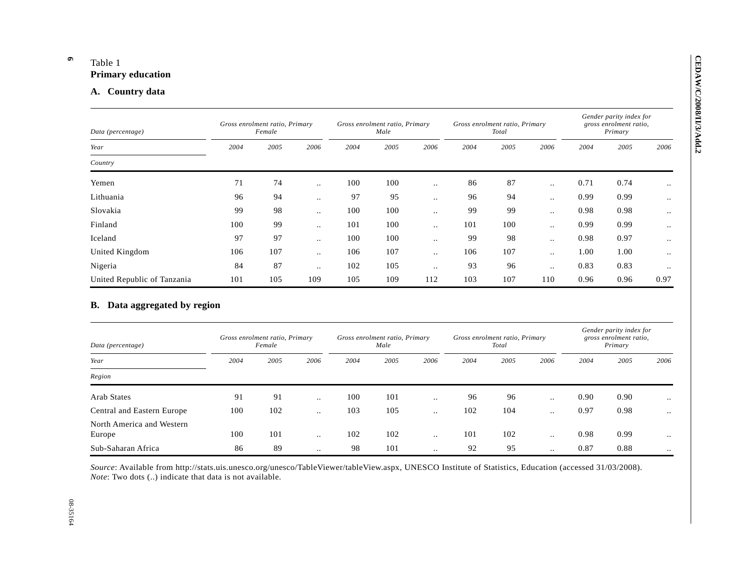**6** 

| Data (percentage)                                           |      | Gross enrolment ratio, Primary<br>Female |                        |      | Gross enrolment ratio, Primary<br>Male |                      |      | Gross enrolment ratio, Primary<br>Total |                        |      | Gender parity index for<br>gross enrolment ratio,<br>Primary |                                                   |
|-------------------------------------------------------------|------|------------------------------------------|------------------------|------|----------------------------------------|----------------------|------|-----------------------------------------|------------------------|------|--------------------------------------------------------------|---------------------------------------------------|
| Year                                                        | 2004 | 2005                                     | 2006                   | 2004 | 2005                                   | 2006                 | 2004 | 2005                                    | 2006                   | 2004 | 2005                                                         | 2006                                              |
| Country                                                     |      |                                          |                        |      |                                        |                      |      |                                         |                        |      |                                                              |                                                   |
| Yemen                                                       | 71   | 74                                       | $\ddotsc$              | 100  | 100                                    | $\ddotsc$            | 86   | 87                                      | $\ddotsc$              | 0.71 | 0.74                                                         | $\ddot{\phantom{a}}$                              |
| Lithuania                                                   | 96   | 94                                       | $\ddot{\phantom{a}}$   | 97   | 95                                     | $\ddotsc$            | 96   | 94                                      | $\ddot{\phantom{a}}$   | 0.99 | 0.99                                                         | $\ddotsc$                                         |
| Slovakia                                                    | 99   | 98                                       | $\ddotsc$              | 100  | 100                                    | $\ddotsc$            | 99   | 99                                      | $\ddot{\phantom{a}}$   | 0.98 | 0.98                                                         | $\ddotsc$                                         |
| Finland                                                     | 100  | 99                                       | $\ddotsc$              | 101  | 100                                    | $\ddots$             | 101  | 100                                     | $\ddotsc$              | 0.99 | 0.99                                                         | $\ddotsc$                                         |
| Iceland                                                     | 97   | 97                                       | $\ddotsc$              | 100  | 100                                    | $\ddotsc$            | 99   | 98                                      | $\ddotsc$              | 0.98 | 0.97                                                         | $\ddotsc$                                         |
| United Kingdom                                              | 106  | 107                                      | $\ddotsc$              | 106  | 107                                    | $\ddots$             | 106  | 107                                     | $\ddot{\phantom{a}}$   | 1.00 | 1.00                                                         | $\ddotsc$                                         |
| Nigeria                                                     | 84   | 87                                       | $\ddotsc$              | 102  | 105                                    | $\ddotsc$            | 93   | 96                                      | $\ddotsc$              | 0.83 | 0.83                                                         | $\ddot{\phantom{0}}$                              |
|                                                             |      |                                          |                        |      |                                        |                      |      |                                         |                        |      |                                                              |                                                   |
| United Republic of Tanzania<br>B. Data aggregated by region | 101  | 105                                      | 109                    | 105  | 109                                    | 112                  | 103  | 107                                     | 110                    | 0.96 | 0.96                                                         |                                                   |
| Data (percentage)                                           |      | Gross enrolment ratio, Primary<br>Female |                        |      | Gross enrolment ratio, Primary<br>Male |                      |      | Gross enrolment ratio, Primary<br>Total |                        |      | Gender parity index for<br>gross enrolment ratio,<br>Primary |                                                   |
| Year                                                        | 2004 | 2005                                     | 2006                   | 2004 | 2005                                   | 2006                 | 2004 | 2005                                    | 2006                   | 2004 | 2005                                                         |                                                   |
| Region                                                      |      |                                          |                        |      |                                        |                      |      |                                         |                        |      |                                                              |                                                   |
| <b>Arab States</b>                                          | 91   | 91                                       | $\ddot{\phantom{a}}$   | 100  | 101                                    | $\ddot{\phantom{a}}$ | 96   | 96                                      | $\ddot{\phantom{a}}$ . | 0.90 | 0.90                                                         |                                                   |
| Central and Eastern Europe                                  | 100  | 102                                      | $\ddotsc$              | 103  | 105                                    | $\ddot{\phantom{a}}$ | 102  | 104                                     | $\ddot{\phantom{a}}$   | 0.97 | 0.98                                                         | 0.97<br>2006<br>$\ddot{\phantom{a}}$<br>$\ddotsc$ |
| North America and Western<br>Europe                         | 100  | 101                                      | $\ddot{\phantom{a}}$ . | 102  | 102                                    | $\ddotsc$            | 101  | 102                                     | $\ddotsc$              | 0.98 | 0.99                                                         | $\ddot{\phantom{a}}$                              |

| Data (percentage)                   | Gross enrolment ratio, Primary<br>Female |      |           |      | Gross enrolment ratio, Primary<br>Male |           |      | Gross enrolment ratio, Primary<br>Total |                      |      | Gender parity index for<br>gross enrolment ratio,<br>Primary |      |  |
|-------------------------------------|------------------------------------------|------|-----------|------|----------------------------------------|-----------|------|-----------------------------------------|----------------------|------|--------------------------------------------------------------|------|--|
| Year                                | 2004                                     | 2005 | 2006      | 2004 | 2005                                   | 2006      | 2004 | 2005                                    | 2006                 | 2004 | 2005                                                         | 2006 |  |
| Region                              |                                          |      |           |      |                                        |           |      |                                         |                      |      |                                                              |      |  |
| Arab States                         | 91                                       | 91   | $\cdot$ . | 100  | 101                                    | $\cdot$ . | 96   | 96                                      | $\cdot$ .            | 0.90 | 0.90                                                         |      |  |
| Central and Eastern Europe          | 100                                      | 102  | $\cdot$ . | 103  | 105                                    | $\cdot$ . | 102  | 104                                     | $\cdot$ .            | 0.97 | 0.98                                                         |      |  |
| North America and Western<br>Europe | 100                                      | 101  | $\cdot$ . | 102  | 102                                    | $\cdot$ . | 101  | 102                                     | $\cdot$ .            | 0.98 | 0.99                                                         |      |  |
| Sub-Saharan Africa                  | 86                                       | 89   | $\ddotsc$ | 98   | 101                                    | $\ddotsc$ | 92   | 95                                      | $\ddot{\phantom{0}}$ | 0.87 | 0.88                                                         |      |  |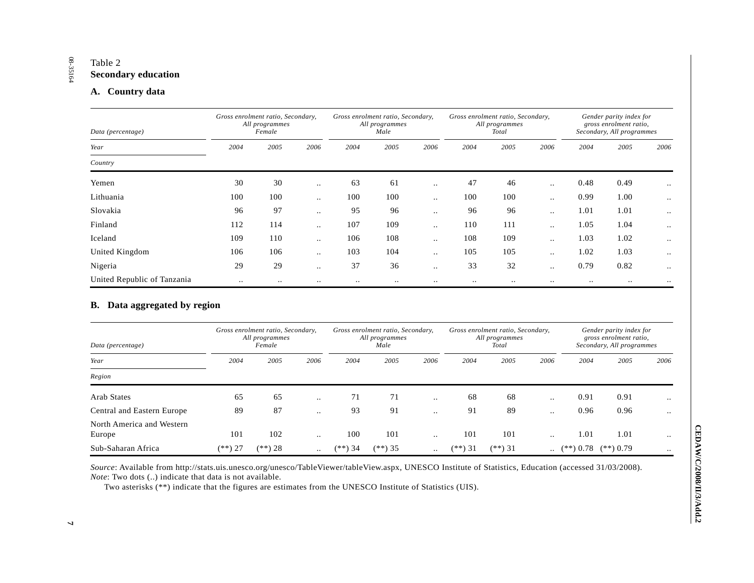#### Table 2 **Secondary education**

### **A. Country data**

| Data (percentage)           |           | Gross enrolment ratio, Secondary,<br>All programmes<br>Female |           |      | Gross enrolment ratio, Secondary,<br>All programmes<br>Male |               | Gross enrolment ratio, Secondary, | All programmes<br>Total |           |           | Gender parity index for<br>gross enrolment ratio,<br>Secondary, All programmes |               |
|-----------------------------|-----------|---------------------------------------------------------------|-----------|------|-------------------------------------------------------------|---------------|-----------------------------------|-------------------------|-----------|-----------|--------------------------------------------------------------------------------|---------------|
| Year                        | 2004      | 2005                                                          | 2006      | 2004 | 2005                                                        | 2006          | 2004                              | 2005                    | 2006      | 2004      | 2005                                                                           | 2006          |
| Country                     |           |                                                               |           |      |                                                             |               |                                   |                         |           |           |                                                                                |               |
| Yemen                       | 30        | 30                                                            | $\ddotsc$ | 63   | 61                                                          | $\ddotsc$     | 47                                | 46                      | $\ddotsc$ | 0.48      | 0.49                                                                           | $\cdot \cdot$ |
| Lithuania                   | 100       | 100                                                           | $\ddotsc$ | 100  | 100                                                         | $\ddotsc$     | 100                               | 100                     | $\ddotsc$ | 0.99      | 1.00                                                                           | $\ddotsc$     |
| Slovakia                    | 96        | 97                                                            | $\ddotsc$ | 95   | 96                                                          |               | 96                                | 96                      | $\ddotsc$ | 1.01      | 1.01                                                                           | $\ddotsc$     |
| Finland                     | 112       | 114                                                           | $\ddotsc$ | 107  | 109                                                         | $\ddotsc$     | 110                               | 111                     | $\ddotsc$ | 1.05      | 1.04                                                                           | $\ddotsc$     |
| Iceland                     | 109       | 110                                                           | $\ddotsc$ | 106  | 108                                                         |               | 108                               | 109                     | $\ddotsc$ | 1.03      | 1.02                                                                           | $\ddotsc$     |
| United Kingdom              | 106       | 106                                                           | $\ddotsc$ | 103  | 104                                                         | $\cdot \cdot$ | 105                               | 105                     | $\ddotsc$ | 1.02      | 1.03                                                                           | $\ddotsc$     |
| Nigeria                     | 29        | 29                                                            | $\ddotsc$ | 37   | 36                                                          |               | 33                                | 32                      | $\ddotsc$ | 0.79      | 0.82                                                                           | $\ddotsc$     |
| United Republic of Tanzania | $\ddotsc$ | $\cdot$ .                                                     | $\cdot$ . |      | $\ddotsc$                                                   |               | $\cdot \cdot$                     | $\ddotsc$               | $\ddotsc$ | $\cdot$ . | $\ddotsc$                                                                      |               |

### **B. Data aggregated by region**

| Data (percentage)                   | Gross enrolment ratio, Secondary,<br>All programmes<br>Female |           |           |            | Gross enrolment ratio, Secondary,<br>All programmes<br>Male |           |         | Gross enrolment ratio, Secondary,<br>All programmes<br>Total |           | Gender parity index for<br>gross enrolment ratio,<br>Secondary, All programmes |             |           |
|-------------------------------------|---------------------------------------------------------------|-----------|-----------|------------|-------------------------------------------------------------|-----------|---------|--------------------------------------------------------------|-----------|--------------------------------------------------------------------------------|-------------|-----------|
| Year                                | 2004                                                          | 2005      | 2006      | 2004       | 2005                                                        | 2006      | 2004    | 2005                                                         | 2006      | 2004                                                                           | 2005        | 2006      |
| Region                              |                                                               |           |           |            |                                                             |           |         |                                                              |           |                                                                                |             |           |
| <b>Arab States</b>                  | 65                                                            | 65        | $\cdot$ . | 71         | 71                                                          | $\ddotsc$ | 68      | 68                                                           | $\cdot$ . | 0.91                                                                           | 0.91        |           |
| Central and Eastern Europe          | 89                                                            | 87        | $\cdot$ . | 93         | 91                                                          | $\cdot$ . | 91      | 89                                                           | $\cdot$ . | 0.96                                                                           | 0.96        | $\ddotsc$ |
| North America and Western<br>Europe | 101                                                           | 102       | $\cdot$ . | 100        | 101                                                         | $\cdot$ . | 101     | 101                                                          | $\cdot$ . | 1.01                                                                           | 1.01        | $\cdot$ . |
| Sub-Saharan Africa                  | (**) 27                                                       | $(**) 28$ | $\ddotsc$ | 34<br>(**) | $(**)$ 35                                                   | $\cdot$ . | (**) 31 | $(**)$ 31                                                    | $\ddotsc$ | $(**)$ 0.78                                                                    | $(**)$ 0.79 |           |

*Source*: Available from http://stats.uis.unesco.org/unesco/TableViewer/tableView.aspx, UNESCO Institute of Statistics, Education (accessed 31/03/2008). *Note*: Two dots (..) indicate that data is not available.

Two asterisks (\*\*) indicate that the figures are estimates from the UNESCO Institute of Statistics (UIS).

# 08-35164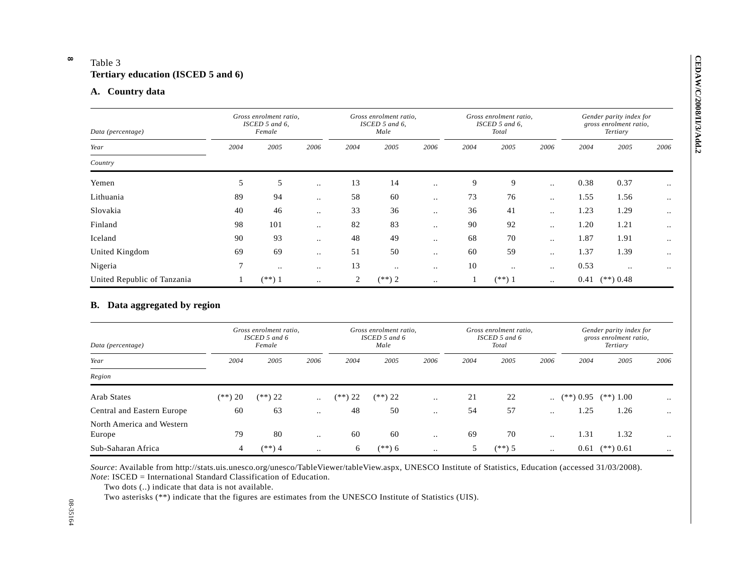**8** 

| Data (percentage)                                           |              | Gross enrolment ratio,<br>ISCED 5 and 6,<br>Female |           |                | Gross enrolment ratio,<br>ISCED 5 and 6,<br>Male |                      |      | Gross enrolment ratio,<br>ISCED 5 and 6,<br>Total |                        |                         | Gender parity index for<br>gross enrolment ratio,<br>Tertiary |                      |
|-------------------------------------------------------------|--------------|----------------------------------------------------|-----------|----------------|--------------------------------------------------|----------------------|------|---------------------------------------------------|------------------------|-------------------------|---------------------------------------------------------------|----------------------|
| Year                                                        | 2004         | 2005                                               | 2006      | 2004           | 2005                                             | 2006                 | 2004 | 2005                                              | 2006                   | 2004                    | 2005                                                          | 2006                 |
| Country                                                     |              |                                                    |           |                |                                                  |                      |      |                                                   |                        |                         |                                                               |                      |
| Yemen                                                       | 5            | 5                                                  | $\ddotsc$ | 13             | 14                                               | $\ddotsc$            | 9    | 9                                                 | $\ddotsc$              | 0.38                    | 0.37                                                          | $\ddot{\phantom{a}}$ |
| Lithuania                                                   | 89           | 94                                                 | $\ddotsc$ | 58             | 60                                               | $\ddotsc$            | 73   | 76                                                | $\ddotsc$              | 1.55                    | 1.56                                                          | $\ddot{\phantom{a}}$ |
| Slovakia                                                    | 40           | 46                                                 | $\ddotsc$ | 33             | 36                                               | $\ddots$             | 36   | 41                                                | $\ddot{\phantom{a}}$ . | 1.23                    | 1.29                                                          | $\ddotsc$            |
| Finland                                                     | 98           | 101                                                | $\ddotsc$ | 82             | 83                                               | $\ddot{\phantom{a}}$ | 90   | 92                                                | $\ddot{\phantom{a}}$ . | 1.20                    | 1.21                                                          | $\ddotsc$            |
| Iceland                                                     | 90           | 93                                                 | $\ddotsc$ | 48             | 49                                               | $\ddotsc$            | 68   | 70                                                | $\ddotsc$              | 1.87                    | 1.91                                                          | $\ddot{\phantom{a}}$ |
| United Kingdom                                              | 69           | 69                                                 | $\ddots$  | 51             | 50                                               | $\ddotsc$            | 60   | 59                                                | $\ddotsc$              | 1.37                    | 1.39                                                          | $\ddot{\phantom{a}}$ |
|                                                             |              |                                                    |           |                |                                                  |                      |      |                                                   |                        |                         |                                                               |                      |
| Nigeria                                                     | 7            | $\ddot{\phantom{a}}$ .                             | $\ddotsc$ | 13             | $\ddots$                                         | $\ddot{\phantom{a}}$ | 10   | $\ldots$                                          | $\ddotsc$              | 0.53                    | $\ddotsc$                                                     | $\ddotsc$            |
| United Republic of Tanzania<br>B. Data aggregated by region | $\mathbf{1}$ | $(**)$ 1                                           | $\ddots$  | $\overline{2}$ | $(**)$ 2                                         | $\sim$               | 1    | $(**) 1$                                          | $\ddotsc$              |                         | $0.41$ (**) $0.48$                                            |                      |
| Data (percentage)                                           |              | Gross enrolment ratio,<br>ISCED 5 and 6<br>Female  |           |                | Gross enrolment ratio,<br>ISCED 5 and 6<br>Male  |                      |      | Gross enrolment ratio,<br>ISCED 5 and 6<br>Total  |                        |                         | Gender parity index for<br>gross enrolment ratio,<br>Tertiary |                      |
| Year                                                        | 2004         | 2005                                               | 2006      | 2004           | 2005                                             | 2006                 | 2004 | 2005                                              | 2006                   | 2004                    | 2005                                                          | 2006                 |
| Region                                                      |              |                                                    |           |                |                                                  |                      |      |                                                   |                        |                         |                                                               |                      |
| <b>Arab States</b>                                          | $(**)$ 20    | $(**) 22$                                          | $\ddotsc$ | $(**)$ 22      | $(**) 22$                                        | $\ddot{\phantom{a}}$ | 21   | 22                                                | $\ddot{\phantom{a}}$   | $(**)$ 0.95 $(**)$ 1.00 |                                                               |                      |
| Central and Eastern Europe                                  | 60           | 63                                                 | $\ddotsc$ | 48             | 50                                               | $\ddotsc$            | 54   | 57                                                | $\ddotsc$              | 1.25                    | 1.26                                                          | $\ddot{\phantom{a}}$ |
| North America and Western<br>Europe                         | 79           | 80                                                 | $\ddotsc$ | 60             | 60                                               | $\sim$               | 69   | 70                                                | $\ddot{\phantom{a}}$ . | 1.31                    | 1.32                                                          | $\ddot{\phantom{a}}$ |

| Data (percentage)                   | Gross enrolment ratio,<br>$ISCED$ 5 and 6<br>Female |           |           |           | Gross enrolment ratio,<br>ISCED 5 and 6<br>Male |               |      | Gross enrolment ratio,<br>$ISCED$ 5 and 6<br>Total |                      |             | Gender parity index for<br>gross enrolment ratio,<br>Tertiary |           |  |
|-------------------------------------|-----------------------------------------------------|-----------|-----------|-----------|-------------------------------------------------|---------------|------|----------------------------------------------------|----------------------|-------------|---------------------------------------------------------------|-----------|--|
| Year                                | 2004                                                | 2005      | 2006      | 2004      | 2005                                            | 2006          | 2004 | 2005                                               | 2006                 | 2004        | 2005                                                          | 2006      |  |
| Region                              |                                                     |           |           |           |                                                 |               |      |                                                    |                      |             |                                                               |           |  |
| Arab States                         | $(**)$ 20                                           | $(**) 22$ | $\ddotsc$ | $(**) 22$ | $(**)$ 22                                       | $\cdot \cdot$ | 21   | 22                                                 | $\ddotsc$            | $(**)$ 0.95 | $(**)$ 1.00                                                   | $\ddotsc$ |  |
| Central and Eastern Europe          | 60                                                  | 63        | $\cdot$ . | 48        | 50                                              | $\cdot$ .     | 54   | 57                                                 | $\cdot$ .            | 1.25        | 1.26                                                          | $\ddotsc$ |  |
| North America and Western<br>Europe | 79                                                  | 80        | $\cdot$ . | 60        | 60                                              | $\ddotsc$     | 69   | 70                                                 | $\ddot{\phantom{a}}$ | 1.31        | 1.32                                                          | $\ddotsc$ |  |
| Sub-Saharan Africa                  | 4                                                   | $(**)$ 4  | $\ddotsc$ | 6         | $(**) 6$                                        | $\ddotsc$     | 5    | $(**)$ 5                                           | $\ddotsc$            | 0.61        | $(**)$ 0.61                                                   | $\ddotsc$ |  |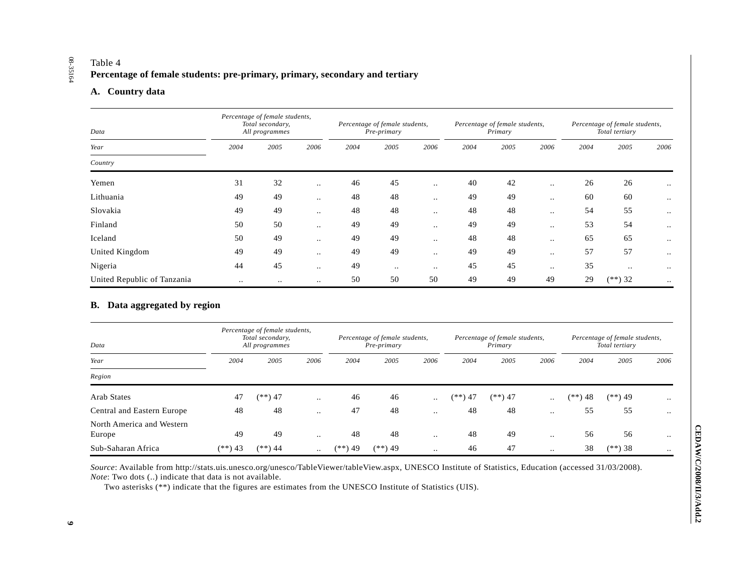# Table 4 **Percentage of female students: pre-primary, primary, secondary and tertiary**

### **A. Country data**

| Data                        | Percentage of female students,<br>Total secondary,<br>All programmes |           |               |      | Percentage of female students,<br>Pre-primary |           |      | Percentage of female students,<br>Primary |           |      | Percentage of female students,<br>Total tertiary |               |
|-----------------------------|----------------------------------------------------------------------|-----------|---------------|------|-----------------------------------------------|-----------|------|-------------------------------------------|-----------|------|--------------------------------------------------|---------------|
| Year                        | 2004                                                                 | 2005      | 2006          | 2004 | 2005                                          | 2006      | 2004 | 2005                                      | 2006      | 2004 | 2005                                             | 2006          |
| Country                     |                                                                      |           |               |      |                                               |           |      |                                           |           |      |                                                  |               |
| Yemen                       | 31                                                                   | 32        | $\cdot \cdot$ | 46   | 45                                            |           | 40   | 42                                        | $\ddotsc$ | 26   | 26                                               | $\cdot$ .     |
| Lithuania                   | 49                                                                   | 49        | $\ddotsc$     | 48   | 48                                            | $\ddotsc$ | 49   | 49                                        | $\ddotsc$ | 60   | 60                                               | $\ddotsc$     |
| Slovakia                    | 49                                                                   | 49        | $\ddotsc$     | 48   | 48                                            | $\ddotsc$ | 48   | 48                                        | $\ddotsc$ | 54   | 55                                               | $\ddotsc$     |
| Finland                     | 50                                                                   | 50        | $\ddotsc$     | 49   | 49                                            | $\ddotsc$ | 49   | 49                                        | $\ddotsc$ | 53   | 54                                               | $\ddotsc$     |
| Iceland                     | 50                                                                   | 49        | $\ddotsc$     | 49   | 49                                            | $\ddotsc$ | 48   | 48                                        | $\ddotsc$ | 65   | 65                                               | $\cdot$ .     |
| United Kingdom              | 49                                                                   | 49        | $\ddotsc$     | 49   | 49                                            |           | 49   | 49                                        | $\ddotsc$ | 57   | 57                                               | $\ddotsc$     |
| Nigeria                     | 44                                                                   | 45        | $\ddotsc$     | 49   | $\bullet$ .                                   | $\cdot$ . | 45   | 45                                        | $\ddotsc$ | 35   |                                                  | $\cdot \cdot$ |
| United Republic of Tanzania | $\ddotsc$                                                            | $\cdot$ . | $\ddotsc$     | 50   | 50                                            | 50        | 49   | 49                                        | 49        | 29   | $(**)$ 32                                        | $\cdot \cdot$ |

### **B. Data aggregated by region**

| Data                                |           | Percentage of female students,<br>Total secondary,<br>All programmes |           |         | Percentage of female students,<br>Pre-primary |           | Percentage of female students,<br>Primary |           |           |           | Percentage of female students,<br>Total tertiary |           |  |
|-------------------------------------|-----------|----------------------------------------------------------------------|-----------|---------|-----------------------------------------------|-----------|-------------------------------------------|-----------|-----------|-----------|--------------------------------------------------|-----------|--|
| Year                                | 2004      | 2005                                                                 | 2006      | 2004    | 2005                                          | 2006      | 2004                                      | 2005      | 2006      | 2004      | 2005                                             | 2006      |  |
| Region                              |           |                                                                      |           |         |                                               |           |                                           |           |           |           |                                                  |           |  |
| Arab States                         | 47        | $(**)$ 47                                                            | $\ddotsc$ | 46      | 46                                            | $\ddotsc$ | $(**)$ 47                                 | $(**)$ 47 | $\ddotsc$ | $(**) 48$ | $(**)$ 49                                        |           |  |
| Central and Eastern Europe          | 48        | 48                                                                   | $\cdot$ . | 47      | 48                                            | $\cdot$ . | 48                                        | 48        | $\cdot$ . | 55        | 55                                               | $\ddotsc$ |  |
| North America and Western<br>Europe | 49        | 49                                                                   | $\cdot$ . | 48      | 48                                            | $\ddotsc$ | 48                                        | 49        | $\cdot$ . | 56        | 56                                               | $\ddotsc$ |  |
| Sub-Saharan Africa                  | $(**)$ 43 | $(**)$ 44                                                            | $\ddotsc$ | (**) 49 | $(**)$ 49                                     | $\cdot$ . | 46                                        | 47        | $\ddotsc$ | 38        | $(**)$ 38                                        | $\cdot$ . |  |

*Source*: Available from http://stats.uis.unesco.org/unesco/TableViewer/tableView.aspx, UNESCO Institute of Statistics, Education (accessed 31/03/2008). *Note*: Two dots (..) indicate that data is not available.

Two asterisks (\*\*) indicate that the figures are estimates from the UNESCO Institute of Statistics (UIS).

# 08-35164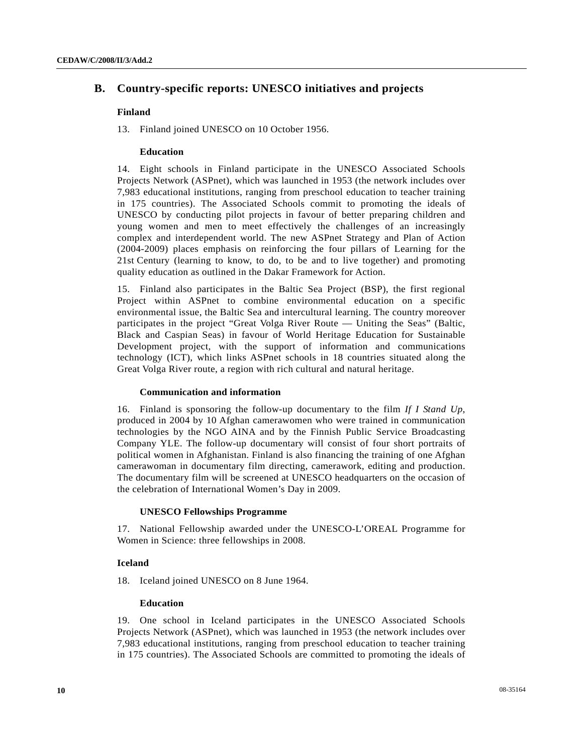# **B. Country-specific reports: UNESCO initiatives and projects**

#### **Finland**

13. Finland joined UNESCO on 10 October 1956.

#### **Education**

14. Eight schools in Finland participate in the UNESCO Associated Schools Projects Network (ASPnet), which was launched in 1953 (the network includes over 7,983 educational institutions, ranging from preschool education to teacher training in 175 countries). The Associated Schools commit to promoting the ideals of UNESCO by conducting pilot projects in favour of better preparing children and young women and men to meet effectively the challenges of an increasingly complex and interdependent world. The new ASPnet Strategy and Plan of Action (2004-2009) places emphasis on reinforcing the four pillars of Learning for the 21st Century (learning to know, to do, to be and to live together) and promoting quality education as outlined in the Dakar Framework for Action.

15. Finland also participates in the Baltic Sea Project (BSP), the first regional Project within ASPnet to combine environmental education on a specific environmental issue, the Baltic Sea and intercultural learning. The country moreover participates in the project "Great Volga River Route — Uniting the Seas" (Baltic, Black and Caspian Seas) in favour of World Heritage Education for Sustainable Development project, with the support of information and communications technology (ICT), which links ASPnet schools in 18 countries situated along the Great Volga River route, a region with rich cultural and natural heritage.

#### **Communication and information**

16. Finland is sponsoring the follow-up documentary to the film *If I Stand Up*, produced in 2004 by 10 Afghan camerawomen who were trained in communication technologies by the NGO AINA and by the Finnish Public Service Broadcasting Company YLE. The follow-up documentary will consist of four short portraits of political women in Afghanistan. Finland is also financing the training of one Afghan camerawoman in documentary film directing, camerawork, editing and production. The documentary film will be screened at UNESCO headquarters on the occasion of the celebration of International Women's Day in 2009.

#### **UNESCO Fellowships Programme**

17. National Fellowship awarded under the UNESCO-L'OREAL Programme for Women in Science: three fellowships in 2008.

### **Iceland**

18. Iceland joined UNESCO on 8 June 1964.

#### **Education**

19. One school in Iceland participates in the UNESCO Associated Schools Projects Network (ASPnet), which was launched in 1953 (the network includes over 7,983 educational institutions, ranging from preschool education to teacher training in 175 countries). The Associated Schools are committed to promoting the ideals of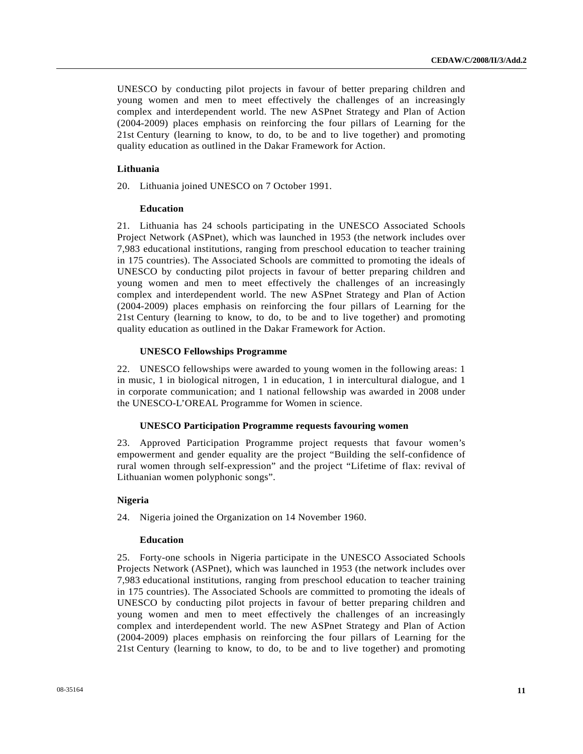UNESCO by conducting pilot projects in favour of better preparing children and young women and men to meet effectively the challenges of an increasingly complex and interdependent world. The new ASPnet Strategy and Plan of Action (2004-2009) places emphasis on reinforcing the four pillars of Learning for the 21st Century (learning to know, to do, to be and to live together) and promoting quality education as outlined in the Dakar Framework for Action.

#### **Lithuania**

20. Lithuania joined UNESCO on 7 October 1991.

#### **Education**

21. Lithuania has 24 schools participating in the UNESCO Associated Schools Project Network (ASPnet), which was launched in 1953 (the network includes over 7,983 educational institutions, ranging from preschool education to teacher training in 175 countries). The Associated Schools are committed to promoting the ideals of UNESCO by conducting pilot projects in favour of better preparing children and young women and men to meet effectively the challenges of an increasingly complex and interdependent world. The new ASPnet Strategy and Plan of Action (2004-2009) places emphasis on reinforcing the four pillars of Learning for the 21st Century (learning to know, to do, to be and to live together) and promoting quality education as outlined in the Dakar Framework for Action.

#### **UNESCO Fellowships Programme**

22. UNESCO fellowships were awarded to young women in the following areas: 1 in music, 1 in biological nitrogen, 1 in education, 1 in intercultural dialogue, and 1 in corporate communication; and 1 national fellowship was awarded in 2008 under the UNESCO-L'OREAL Programme for Women in science.

#### **UNESCO Participation Programme requests favouring women**

23. Approved Participation Programme project requests that favour women's empowerment and gender equality are the project "Building the self-confidence of rural women through self-expression" and the project "Lifetime of flax: revival of Lithuanian women polyphonic songs".

### **Nigeria**

24. Nigeria joined the Organization on 14 November 1960.

#### **Education**

25. Forty-one schools in Nigeria participate in the UNESCO Associated Schools Projects Network (ASPnet), which was launched in 1953 (the network includes over 7,983 educational institutions, ranging from preschool education to teacher training in 175 countries). The Associated Schools are committed to promoting the ideals of UNESCO by conducting pilot projects in favour of better preparing children and young women and men to meet effectively the challenges of an increasingly complex and interdependent world. The new ASPnet Strategy and Plan of Action (2004-2009) places emphasis on reinforcing the four pillars of Learning for the 21st Century (learning to know, to do, to be and to live together) and promoting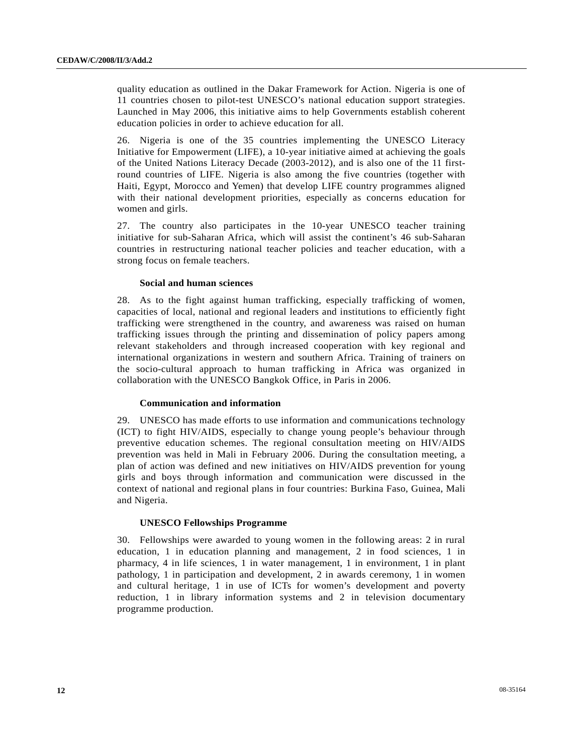quality education as outlined in the Dakar Framework for Action. Nigeria is one of 11 countries chosen to pilot-test UNESCO's national education support strategies. Launched in May 2006, this initiative aims to help Governments establish coherent education policies in order to achieve education for all.

26. Nigeria is one of the 35 countries implementing the UNESCO Literacy Initiative for Empowerment (LIFE), a 10-year initiative aimed at achieving the goals of the United Nations Literacy Decade (2003-2012), and is also one of the 11 firstround countries of LIFE. Nigeria is also among the five countries (together with Haiti, Egypt, Morocco and Yemen) that develop LIFE country programmes aligned with their national development priorities, especially as concerns education for women and girls.

27. The country also participates in the 10-year UNESCO teacher training initiative for sub-Saharan Africa, which will assist the continent's 46 sub-Saharan countries in restructuring national teacher policies and teacher education, with a strong focus on female teachers.

#### **Social and human sciences**

28. As to the fight against human trafficking, especially trafficking of women, capacities of local, national and regional leaders and institutions to efficiently fight trafficking were strengthened in the country, and awareness was raised on human trafficking issues through the printing and dissemination of policy papers among relevant stakeholders and through increased cooperation with key regional and international organizations in western and southern Africa. Training of trainers on the socio-cultural approach to human trafficking in Africa was organized in collaboration with the UNESCO Bangkok Office, in Paris in 2006.

#### **Communication and information**

29. UNESCO has made efforts to use information and communications technology (ICT) to fight HIV/AIDS, especially to change young people's behaviour through preventive education schemes. The regional consultation meeting on HIV/AIDS prevention was held in Mali in February 2006. During the consultation meeting, a plan of action was defined and new initiatives on HIV/AIDS prevention for young girls and boys through information and communication were discussed in the context of national and regional plans in four countries: Burkina Faso, Guinea, Mali and Nigeria.

#### **UNESCO Fellowships Programme**

30. Fellowships were awarded to young women in the following areas: 2 in rural education, 1 in education planning and management, 2 in food sciences, 1 in pharmacy, 4 in life sciences, 1 in water management, 1 in environment, 1 in plant pathology, 1 in participation and development, 2 in awards ceremony, 1 in women and cultural heritage, 1 in use of ICTs for women's development and poverty reduction, 1 in library information systems and 2 in television documentary programme production.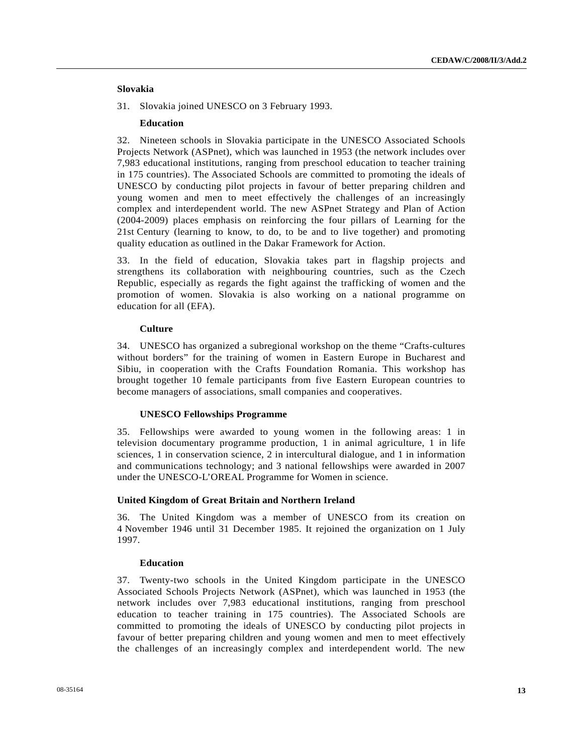#### **Slovakia**

31. Slovakia joined UNESCO on 3 February 1993.

#### **Education**

32. Nineteen schools in Slovakia participate in the UNESCO Associated Schools Projects Network (ASPnet), which was launched in 1953 (the network includes over 7,983 educational institutions, ranging from preschool education to teacher training in 175 countries). The Associated Schools are committed to promoting the ideals of UNESCO by conducting pilot projects in favour of better preparing children and young women and men to meet effectively the challenges of an increasingly complex and interdependent world. The new ASPnet Strategy and Plan of Action (2004-2009) places emphasis on reinforcing the four pillars of Learning for the 21st Century (learning to know, to do, to be and to live together) and promoting quality education as outlined in the Dakar Framework for Action.

33. In the field of education, Slovakia takes part in flagship projects and strengthens its collaboration with neighbouring countries, such as the Czech Republic, especially as regards the fight against the trafficking of women and the promotion of women. Slovakia is also working on a national programme on education for all (EFA).

#### **Culture**

34. UNESCO has organized a subregional workshop on the theme "Crafts-cultures without borders" for the training of women in Eastern Europe in Bucharest and Sibiu, in cooperation with the Crafts Foundation Romania. This workshop has brought together 10 female participants from five Eastern European countries to become managers of associations, small companies and cooperatives.

#### **UNESCO Fellowships Programme**

35. Fellowships were awarded to young women in the following areas: 1 in television documentary programme production, 1 in animal agriculture, 1 in life sciences, 1 in conservation science, 2 in intercultural dialogue, and 1 in information and communications technology; and 3 national fellowships were awarded in 2007 under the UNESCO-L'OREAL Programme for Women in science.

### **United Kingdom of Great Britain and Northern Ireland**

36. The United Kingdom was a member of UNESCO from its creation on 4 November 1946 until 31 December 1985. It rejoined the organization on 1 July 1997.

#### **Education**

37. Twenty-two schools in the United Kingdom participate in the UNESCO Associated Schools Projects Network (ASPnet), which was launched in 1953 (the network includes over 7,983 educational institutions, ranging from preschool education to teacher training in 175 countries). The Associated Schools are committed to promoting the ideals of UNESCO by conducting pilot projects in favour of better preparing children and young women and men to meet effectively the challenges of an increasingly complex and interdependent world. The new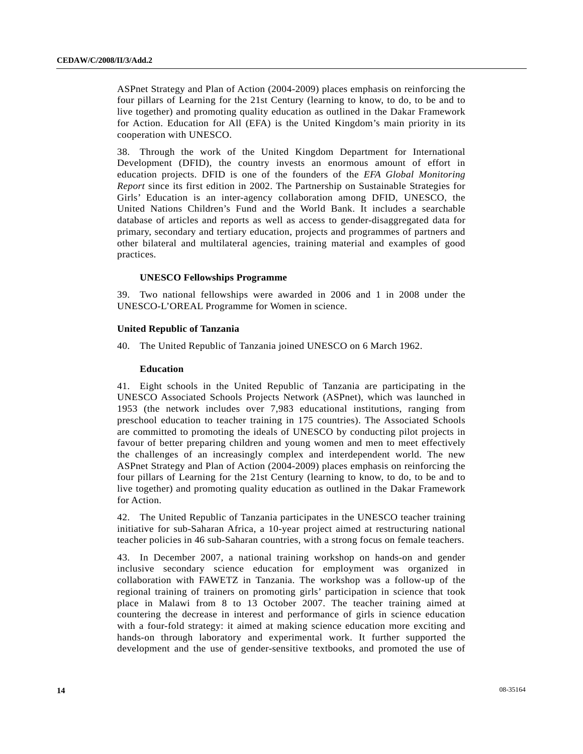ASPnet Strategy and Plan of Action (2004-2009) places emphasis on reinforcing the four pillars of Learning for the 21st Century (learning to know, to do, to be and to live together) and promoting quality education as outlined in the Dakar Framework for Action. Education for All (EFA) is the United Kingdom's main priority in its cooperation with UNESCO.

38. Through the work of the United Kingdom Department for International Development (DFID), the country invests an enormous amount of effort in education projects. DFID is one of the founders of the *EFA Global Monitoring Report* since its first edition in 2002. The Partnership on Sustainable Strategies for Girls' Education is an inter-agency collaboration among DFID, UNESCO, the United Nations Children's Fund and the World Bank. It includes a searchable database of articles and reports as well as access to gender-disaggregated data for primary, secondary and tertiary education, projects and programmes of partners and other bilateral and multilateral agencies, training material and examples of good practices.

#### **UNESCO Fellowships Programme**

39. Two national fellowships were awarded in 2006 and 1 in 2008 under the UNESCO-L'OREAL Programme for Women in science.

#### **United Republic of Tanzania**

40. The United Republic of Tanzania joined UNESCO on 6 March 1962.

#### **Education**

41. Eight schools in the United Republic of Tanzania are participating in the UNESCO Associated Schools Projects Network (ASPnet), which was launched in 1953 (the network includes over 7,983 educational institutions, ranging from preschool education to teacher training in 175 countries). The Associated Schools are committed to promoting the ideals of UNESCO by conducting pilot projects in favour of better preparing children and young women and men to meet effectively the challenges of an increasingly complex and interdependent world. The new ASPnet Strategy and Plan of Action (2004-2009) places emphasis on reinforcing the four pillars of Learning for the 21st Century (learning to know, to do, to be and to live together) and promoting quality education as outlined in the Dakar Framework for Action.

42. The United Republic of Tanzania participates in the UNESCO teacher training initiative for sub-Saharan Africa, a 10-year project aimed at restructuring national teacher policies in 46 sub-Saharan countries, with a strong focus on female teachers.

43. In December 2007, a national training workshop on hands-on and gender inclusive secondary science education for employment was organized in collaboration with FAWETZ in Tanzania. The workshop was a follow-up of the regional training of trainers on promoting girls' participation in science that took place in Malawi from 8 to 13 October 2007. The teacher training aimed at countering the decrease in interest and performance of girls in science education with a four-fold strategy: it aimed at making science education more exciting and hands-on through laboratory and experimental work. It further supported the development and the use of gender-sensitive textbooks, and promoted the use of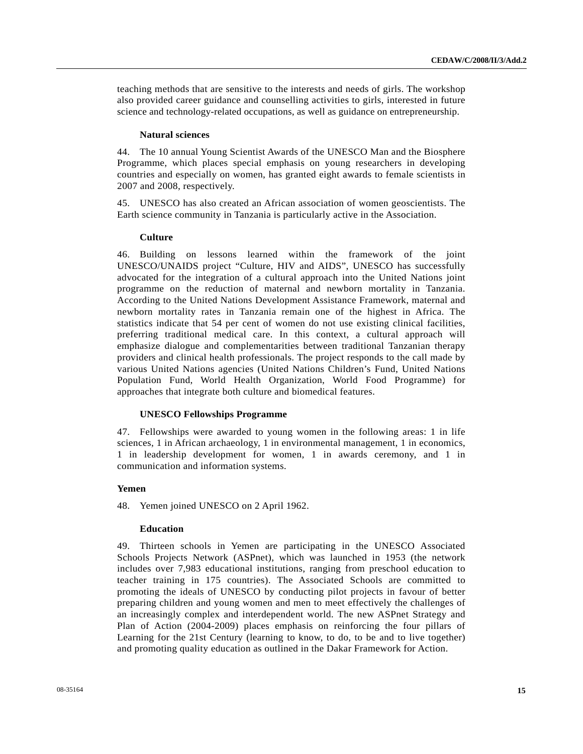teaching methods that are sensitive to the interests and needs of girls. The workshop also provided career guidance and counselling activities to girls, interested in future science and technology-related occupations, as well as guidance on entrepreneurship.

#### **Natural sciences**

44. The 10 annual Young Scientist Awards of the UNESCO Man and the Biosphere Programme, which places special emphasis on young researchers in developing countries and especially on women, has granted eight awards to female scientists in 2007 and 2008, respectively.

45. UNESCO has also created an African association of women geoscientists. The Earth science community in Tanzania is particularly active in the Association.

#### **Culture**

46. Building on lessons learned within the framework of the joint UNESCO/UNAIDS project "Culture, HIV and AIDS", UNESCO has successfully advocated for the integration of a cultural approach into the United Nations joint programme on the reduction of maternal and newborn mortality in Tanzania. According to the United Nations Development Assistance Framework, maternal and newborn mortality rates in Tanzania remain one of the highest in Africa. The statistics indicate that 54 per cent of women do not use existing clinical facilities, preferring traditional medical care. In this context, a cultural approach will emphasize dialogue and complementarities between traditional Tanzanian therapy providers and clinical health professionals. The project responds to the call made by various United Nations agencies (United Nations Children's Fund, United Nations Population Fund, World Health Organization, World Food Programme) for approaches that integrate both culture and biomedical features.

#### **UNESCO Fellowships Programme**

47. Fellowships were awarded to young women in the following areas: 1 in life sciences, 1 in African archaeology, 1 in environmental management, 1 in economics, 1 in leadership development for women, 1 in awards ceremony, and 1 in communication and information systems.

#### **Yemen**

48. Yemen joined UNESCO on 2 April 1962.

#### **Education**

49. Thirteen schools in Yemen are participating in the UNESCO Associated Schools Projects Network (ASPnet), which was launched in 1953 (the network includes over 7,983 educational institutions, ranging from preschool education to teacher training in 175 countries). The Associated Schools are committed to promoting the ideals of UNESCO by conducting pilot projects in favour of better preparing children and young women and men to meet effectively the challenges of an increasingly complex and interdependent world. The new ASPnet Strategy and Plan of Action (2004-2009) places emphasis on reinforcing the four pillars of Learning for the 21st Century (learning to know, to do, to be and to live together) and promoting quality education as outlined in the Dakar Framework for Action.